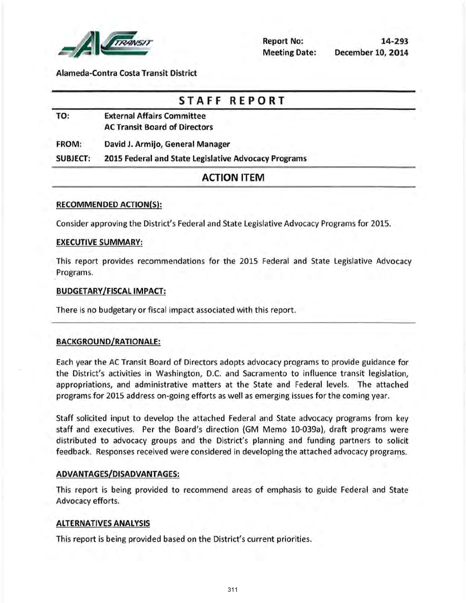

**Alameda-Contra Costa Transit District** 

# **STAFF REPORT**

**TO: External Affairs Committee AC Transit Board of Directors** 

**FROM: David J. Armijo, General Manager** 

**SUBJECT: 2015 Federal and State Legislative Advocacy Programs** 

## **ACTION ITEM**

#### **RECOMMENDED ACTION(S):**

Consider approving the District's Federal and State Legislative Advocacy Programs for 2015.

#### **EXECUTIVE SUMMARY:**

This report provides recommendations for the 2015 Federal and State Legislative Advocacy Programs.

### **BUDGETARY /FISCAL IMPACT:**

There is no budgetary or fiscal impact associated with this report.

### **BACKGROUND/RATIONALE:**

Each year the AC Transit Board of Directors adopts advocacy programs to provide guidance for the District's activities in Washington, D.C. and Sacramento to influence transit legislation, appropriations, and administrative matters at the State and Federal levels. The attached programs for 2015 address on-going efforts as well as emerging issues for the coming year.

Staff solicited input to develop the attached Federal and State advocacy programs from key staff and executives. Per the Board's direction (GM Memo 10-039a), draft programs were distributed to advocacy groups and the District's planning and funding partners to solicit feedback. Responses received were considered in developing the attached advocacy programs.

#### **ADVANTAGES/DISADVANTAGES:**

This report is being provided to recommend areas of emphasis to guide Federal and State Advocacy efforts.

#### **ALTERNATIVES ANALYSIS**

This report is being provided based on the District's current priorities.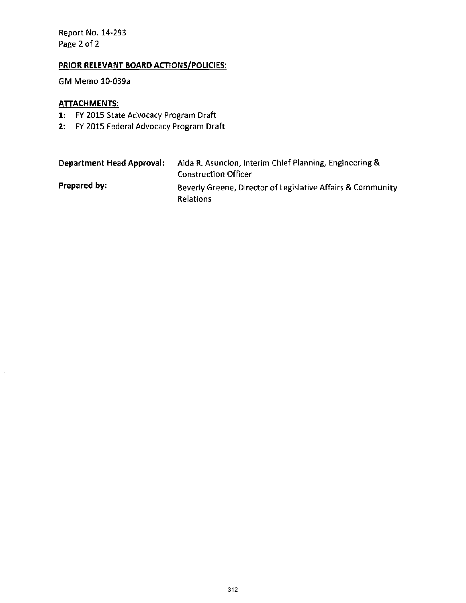Report No. 14-293 Page 2 of 2

## **PRIOR RELEVANT BOARD ACTIONS/POLICIES:**

GM Memo 10-039a

### **AITACHMENTS:**

 $\overline{\phantom{a}}$ 

- **1:** FY 2015 State Advocacy Program Draft
- **2:** FY 2015 Federal Advocacy Program Draft

| <b>Department Head Approval:</b> | Aida R. Asuncion, Interim Chief Planning, Engineering &<br><b>Construction Officer</b> |
|----------------------------------|----------------------------------------------------------------------------------------|
| Prepared by:                     | Beverly Greene, Director of Legislative Affairs & Community<br><b>Relations</b>        |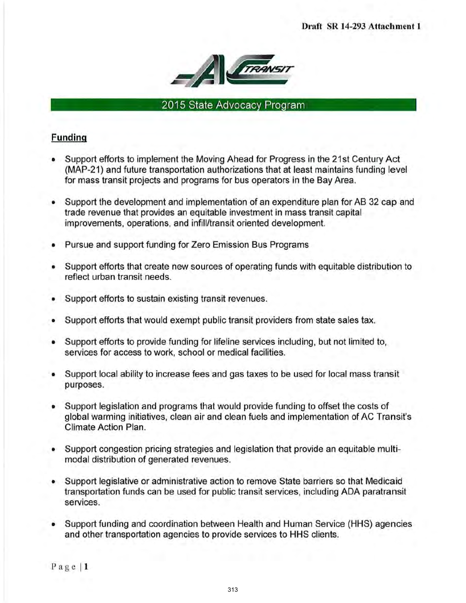

## 2015 State Advocacy Program

## **Funding**

- Support efforts to implement the Moving Ahead for Progress in the 21st Century Act (MAP-21) and future transportation authorizations that at least maintains funding level for mass transit projects and programs for bus operators in the Bay Area.
- Support the development and implementation of an expenditure plan for AB 32 cap and trade revenue that provides an equitable investment in mass transit capital improvements, operations, and infill/transit oriented development.
- Pursue and support funding for Zero Emission Bus Programs
- Support efforts that create new sources of operating funds with equitable distribution to reflect urban transit needs.
- Support efforts to sustain existing transit revenues.
- Support efforts that would exempt public transit providers from state sales tax.
- Support efforts to provide funding for lifeline services including, but not limited to, services for access to work, school or medical facilities.
- Support local ability to increase fees and gas taxes to be used for local mass transit purposes.
- Support legislation and programs that would provide funding to offset the costs of global warming initiatives, clean air and clean fuels and implementation of AC Transit's Climate Action Plan.
- Support congestion pricing strategies and legislation that provide an equitable multimodal distribution of generated revenues.
- Support legislative or administrative action to remove State barriers so that Medicaid transportation funds can be used for public transit services, including ADA paratransit services.
- Support funding and coordination between Health and Human Service (HHS) agencies and other transportation agencies to provide services to HHS clients.

P age l1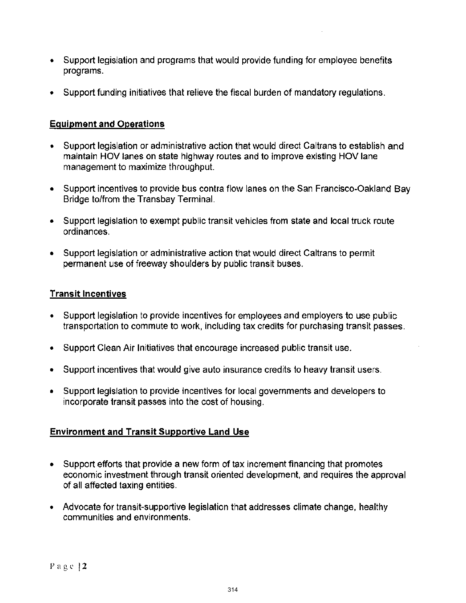- Support legislation and programs that would provide funding for employee benefits programs.
- Support funding initiatives that relieve the fiscal burden of mandatory regulations.

## **Equipment and Operations**

- Support legislation or administrative action that would direct Caltrans to establish and maintain HOV lanes on state highway routes and to improve existing HOV lane management to maximize throughput.
- Support incentives to provide bus contra flow lanes on the San Francisco-Oakland Bay Bridge to/from the Transbay Terminal.
- Support legislation to exempt public transit vehicles from state and local truck route ordinances.
- Support legislation or administrative action that would direct Caltrans to permit permanent use of freeway shoulders by public transit buses.

### **Transit Incentives**

- Support legislation to provide incentives for employees and employers to use public transportation to commute to work, including tax credits for purchasing transit passes.
- Support Clean Air Initiatives that encourage increased public transit use.
- Support incentives that would give auto insurance credits to heavy transit users.
- Support legislation to provide incentives for local governments and developers to incorporate transit passes into the cost of housing.

## **Environment and Transit Supportive Land Use**

- Support efforts that provide a new form of tax increment financing that promotes economic investment through transit oriented development, and requires the approval of all affected taxing entities.
- Advocate for transit-supportive legislation that addresses climate change, healthy communities and environments.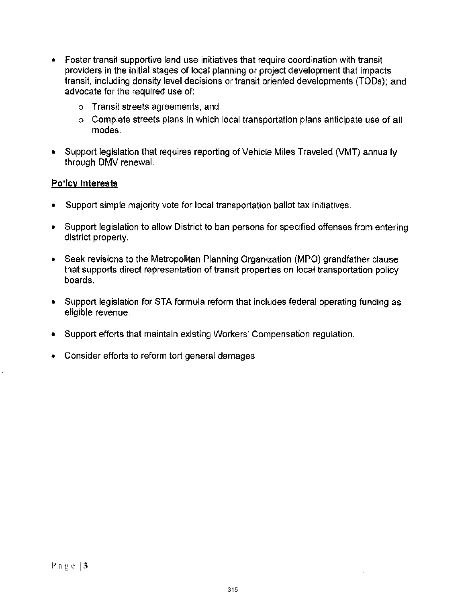- Foster transit supportive land use initiatives that require coordination with transit providers in the initial stages of local planning or project development that impacts transit, including density level decisions or transit oriented developments (TODs); and advocate for the required use of:
	- o Transit streets agreements, and
	- o Complete streets plans in which local transportation plans anticipate use of all modes.
- Support legislation that requires reporting of Vehicle Miles Traveled (VMT) annually through DMV renewal.

## **Policy Interests**

- Support simple majority vote for local transportation ballot tax initiatives.
- Support legislation to allow District to ban persons for specified offenses from entering district property.
- Seek revisions to the Metropolitan Planning Organization (MPO) grandfather clause that supports direct representation of transit properties on local transportation policy boards.
- Support legislation for STA formula reform that includes federal operating funding as eligible revenue.
- Support efforts that maintain existing Workers' Compensation regulation.
- Consider efforts to reform tort general damages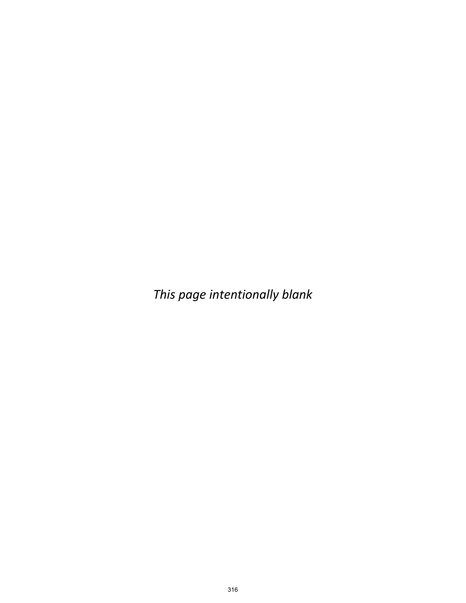*This page intentionally blank*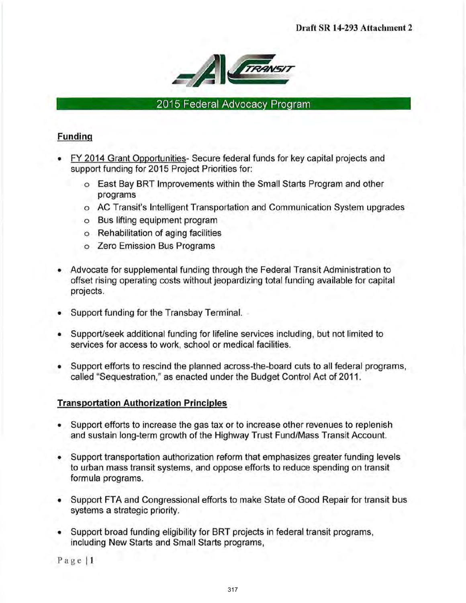

# 2015 Federal Advocacy Program

## **Funding**

- FY 2014 Grant Opportunities- Secure federal funds for key capital projects and support funding for 2015 Project Priorities for:
	- o East Bay BRT Improvements within the Small Starts Program and other programs
	- o AC Transit's Intelligent Transportation and Communication System upgrades
	- o Bus lifting equipment program
	- o Rehabilitation of aging facilities
	- o Zero Emission Bus Programs
- Advocate for supplemental funding through the Federal Transit Administration to offset rising operating costs without jeopardizing total funding available for capital projects.
- Support funding for the Transbay Terminal. .
- Support/seek additional funding for lifeline services including, but not limited to services for access to work, school or medical facilities.
- Support efforts to rescind the planned across-the-board cuts to all federal programs, called "Sequestration," as enacted under the Budget Control Act of 2011 .

### **Transportation Authorization Principles**

- Support efforts to increase the gas tax or to increase other revenues to replenish and sustain long-term growth of the Highway Trust Fund/Mass Transit Account.
- Support transportation authorization reform that emphasizes greater funding levels to urban mass transit systems, and oppose efforts to reduce spending on transit formula programs.
- Support FTA and Congressional efforts to make State of Good Repair for transit bus systems a strategic priority.
- Support broad funding eligibility for BRT projects in federal transit programs, including New Starts and Small Starts programs,

P age Jl